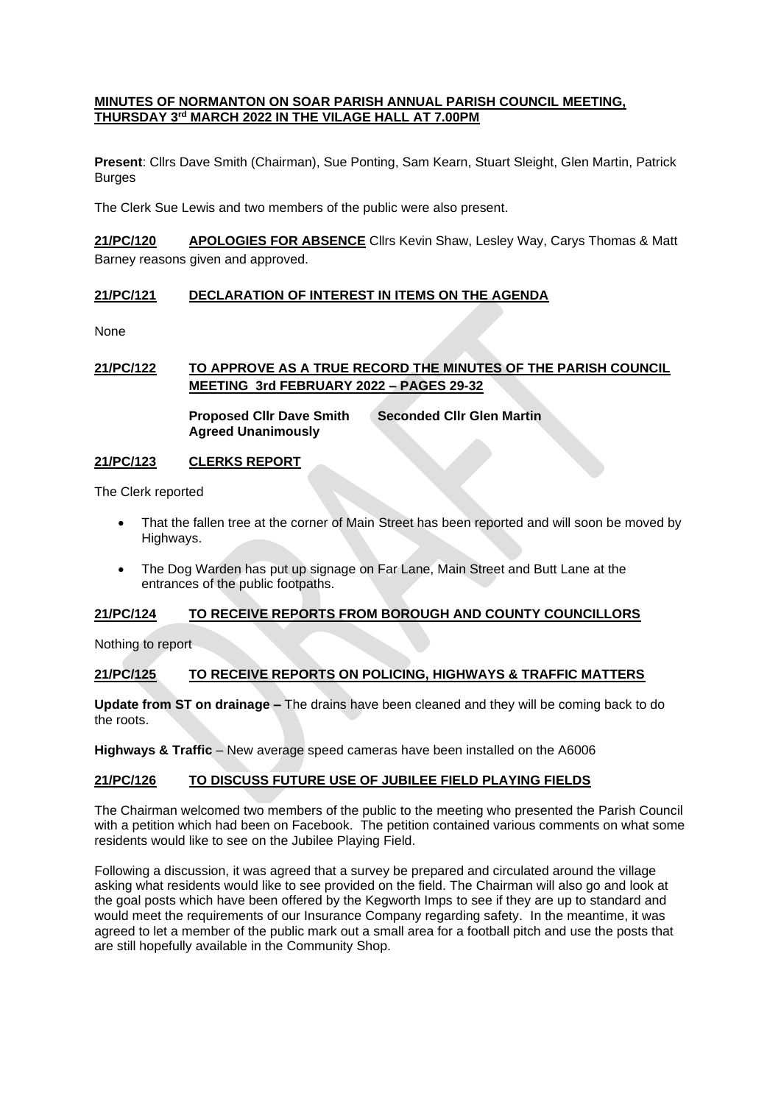#### **MINUTES OF NORMANTON ON SOAR PARISH ANNUAL PARISH COUNCIL MEETING, THURSDAY 3rd MARCH 2022 IN THE VILAGE HALL AT 7.00PM**

**Present**: Cllrs Dave Smith (Chairman), Sue Ponting, Sam Kearn, Stuart Sleight, Glen Martin, Patrick Burges

The Clerk Sue Lewis and two members of the public were also present.

**21/PC/120 APOLOGIES FOR ABSENCE** Cllrs Kevin Shaw, Lesley Way, Carys Thomas & Matt Barney reasons given and approved.

## **21/PC/121 DECLARATION OF INTEREST IN ITEMS ON THE AGENDA**

None

# **21/PC/122 TO APPROVE AS A TRUE RECORD THE MINUTES OF THE PARISH COUNCIL MEETING 3rd FEBRUARY 2022 – PAGES 29-32**

**Proposed Cllr Dave Smith Seconded Cllr Glen Martin Agreed Unanimously**

#### **21/PC/123 CLERKS REPORT**

The Clerk reported

- That the fallen tree at the corner of Main Street has been reported and will soon be moved by Highways.
- The Dog Warden has put up signage on Far Lane, Main Street and Butt Lane at the entrances of the public footpaths.

## **21/PC/124 TO RECEIVE REPORTS FROM BOROUGH AND COUNTY COUNCILLORS**

Nothing to report

## **21/PC/125 TO RECEIVE REPORTS ON POLICING, HIGHWAYS & TRAFFIC MATTERS**

**Update from ST on drainage –** The drains have been cleaned and they will be coming back to do the roots.

**Highways & Traffic** – New average speed cameras have been installed on the A6006

## **21/PC/126 TO DISCUSS FUTURE USE OF JUBILEE FIELD PLAYING FIELDS**

The Chairman welcomed two members of the public to the meeting who presented the Parish Council with a petition which had been on Facebook. The petition contained various comments on what some residents would like to see on the Jubilee Playing Field.

Following a discussion, it was agreed that a survey be prepared and circulated around the village asking what residents would like to see provided on the field. The Chairman will also go and look at the goal posts which have been offered by the Kegworth Imps to see if they are up to standard and would meet the requirements of our Insurance Company regarding safety. In the meantime, it was agreed to let a member of the public mark out a small area for a football pitch and use the posts that are still hopefully available in the Community Shop.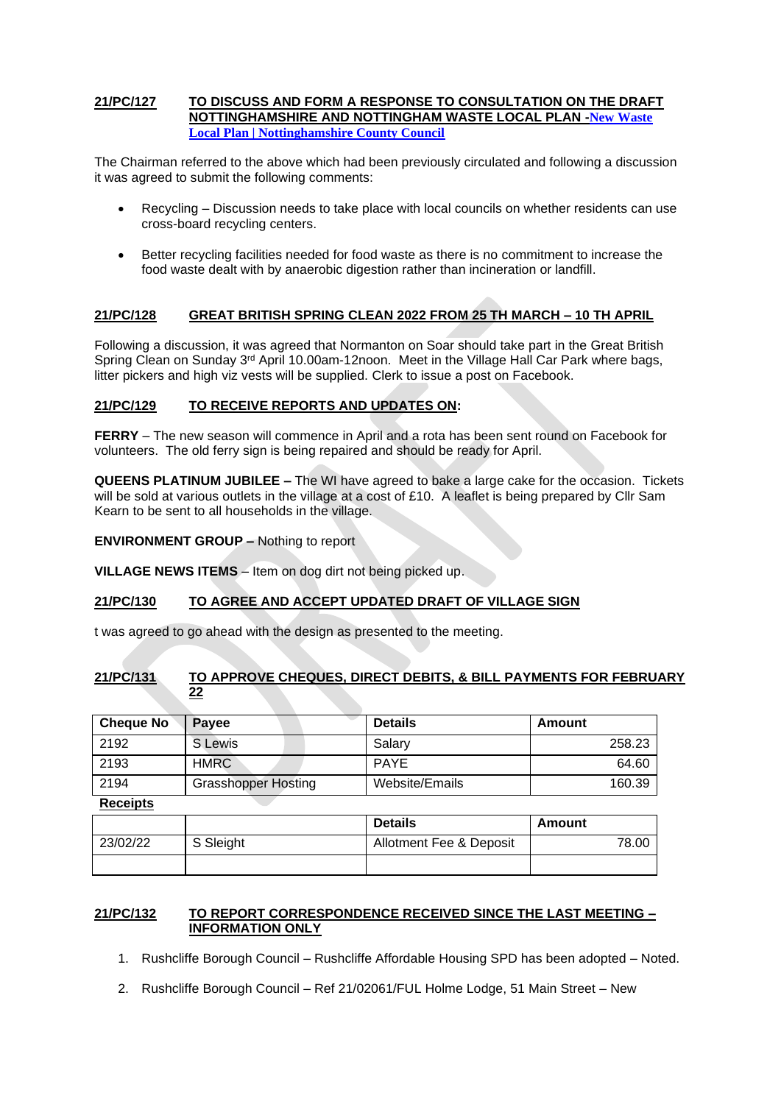#### **21/PC/127 TO DISCUSS AND FORM A RESPONSE TO CONSULTATION ON THE DRAFT NOTTINGHAMSHIRE AND NOTTINGHAM WASTE LOCAL PLAN -[New Waste](https://www.nottinghamshire.gov.uk/planning-and-environment/waste-development-plan/new-waste-local-plan)  [Local Plan | Nottinghamshire County Council](https://www.nottinghamshire.gov.uk/planning-and-environment/waste-development-plan/new-waste-local-plan)**

The Chairman referred to the above which had been previously circulated and following a discussion it was agreed to submit the following comments:

- Recycling Discussion needs to take place with local councils on whether residents can use cross-board recycling centers.
- Better recycling facilities needed for food waste as there is no commitment to increase the food waste dealt with by anaerobic digestion rather than incineration or landfill.

## **21/PC/128 GREAT BRITISH SPRING CLEAN 2022 FROM 25 TH MARCH – 10 TH APRIL**

Following a discussion, it was agreed that Normanton on Soar should take part in the Great British Spring Clean on Sunday 3<sup>rd</sup> April 10.00am-12noon. Meet in the Village Hall Car Park where bags, litter pickers and high viz vests will be supplied. Clerk to issue a post on Facebook.

## **21/PC/129 TO RECEIVE REPORTS AND UPDATES ON:**

**FERRY** – The new season will commence in April and a rota has been sent round on Facebook for volunteers. The old ferry sign is being repaired and should be ready for April.

**QUEENS PLATINUM JUBILEE –** The WI have agreed to bake a large cake for the occasion. Tickets will be sold at various outlets in the village at a cost of £10. A leaflet is being prepared by Cllr Sam Kearn to be sent to all households in the village.

**ENVIRONMENT GROUP –** Nothing to report

**VILLAGE NEWS ITEMS** – Item on dog dirt not being picked up.

## **21/PC/130 TO AGREE AND ACCEPT UPDATED DRAFT OF VILLAGE SIGN**

t was agreed to go ahead with the design as presented to the meeting.

## **21/PC/131 TO APPROVE CHEQUES, DIRECT DEBITS, & BILL PAYMENTS FOR FEBRUARY 22**

| <b>Cheque No</b> | <b>Pavee</b>               | <b>Details</b> | Amount |
|------------------|----------------------------|----------------|--------|
| 2192             | S Lewis                    | Salarv         | 258.23 |
| 2193             | <b>HMRC</b>                | <b>PAYE</b>    | 64.60  |
| 2194             | <b>Grasshopper Hosting</b> | Website/Emails | 160.39 |

**Receipts**

|          |           | <b>Details</b>          | Amount |
|----------|-----------|-------------------------|--------|
| 23/02/22 | S Sleight | Allotment Fee & Deposit | 78.00  |
|          |           |                         |        |

## **21/PC/132 TO REPORT CORRESPONDENCE RECEIVED SINCE THE LAST MEETING – INFORMATION ONLY**

- 1. Rushcliffe Borough Council Rushcliffe Affordable Housing SPD has been adopted Noted.
- 2. Rushcliffe Borough Council Ref 21/02061/FUL Holme Lodge, 51 Main Street New